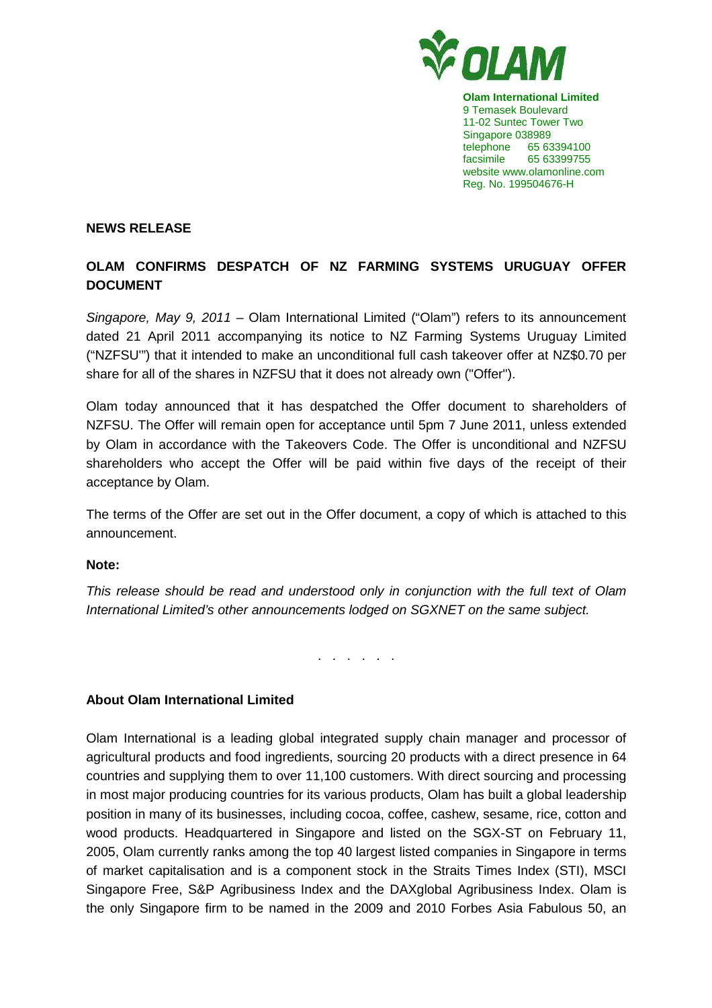

**Olam International Limited**  9 Temasek Boulevard 11-02 Suntec Tower Two Singapore 038989 telephone 65 63394100 facsimile 65 63399755 website www.olamonline.com Reg. No. 199504676-H

## **NEWS RELEASE**

## **OLAM CONFIRMS DESPATCH OF NZ FARMING SYSTEMS URUGUAY OFFER DOCUMENT**

Singapore, May 9, 2011 – Olam International Limited ("Olam") refers to its announcement dated 21 April 2011 accompanying its notice to NZ Farming Systems Uruguay Limited ("NZFSU'") that it intended to make an unconditional full cash takeover offer at NZ\$0.70 per share for all of the shares in NZFSU that it does not already own ("Offer").

Olam today announced that it has despatched the Offer document to shareholders of NZFSU. The Offer will remain open for acceptance until 5pm 7 June 2011, unless extended by Olam in accordance with the Takeovers Code. The Offer is unconditional and NZFSU shareholders who accept the Offer will be paid within five days of the receipt of their acceptance by Olam.

The terms of the Offer are set out in the Offer document, a copy of which is attached to this announcement.

## **Note:**

This release should be read and understood only in conjunction with the full text of Olam International Limited's other announcements lodged on SGXNET on the same subject.

. . . . . .

## **About Olam International Limited**

Olam International is a leading global integrated supply chain manager and processor of agricultural products and food ingredients, sourcing 20 products with a direct presence in 64 countries and supplying them to over 11,100 customers. With direct sourcing and processing in most major producing countries for its various products, Olam has built a global leadership position in many of its businesses, including cocoa, coffee, cashew, sesame, rice, cotton and wood products. Headquartered in Singapore and listed on the SGX-ST on February 11, 2005, Olam currently ranks among the top 40 largest listed companies in Singapore in terms of market capitalisation and is a component stock in the Straits Times Index (STI), MSCI Singapore Free, S&P Agribusiness Index and the DAXglobal Agribusiness Index. Olam is the only Singapore firm to be named in the 2009 and 2010 Forbes Asia Fabulous 50, an